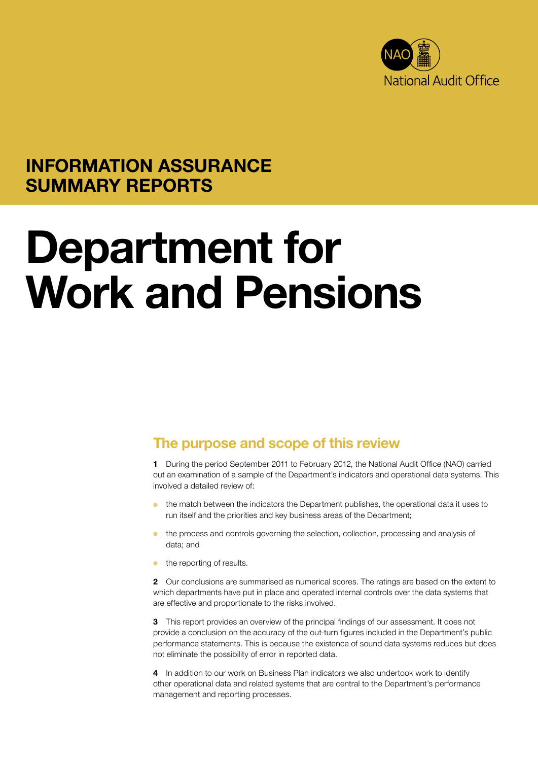

## INFORMATION ASSURANCE SUMMARY REPORTS

# Department for Work and Pensions

### The purpose and scope of this review

1 During the period September 2011 to February 2012, the National Audit Office (NAO) carried out an examination of a sample of the Department's indicators and operational data systems. This involved a detailed review of:

- <sup>O</sup> the match between the indicators the Department publishes, the operational data it uses to run itself and the priorities and key business areas of the Department;
- <sup>O</sup> the process and controls governing the selection, collection, processing and analysis of data; and
- $\bullet$  the reporting of results.

2 Our conclusions are summarised as numerical scores. The ratings are based on the extent to which departments have put in place and operated internal controls over the data systems that are effective and proportionate to the risks involved.

3 This report provides an overview of the principal findings of our assessment. It does not provide a conclusion on the accuracy of the out-turn figures included in the Department's public performance statements. This is because the existence of sound data systems reduces but does not eliminate the possibility of error in reported data.

4 In addition to our work on Business Plan indicators we also undertook work to identify other operational data and related systems that are central to the Department's performance management and reporting processes.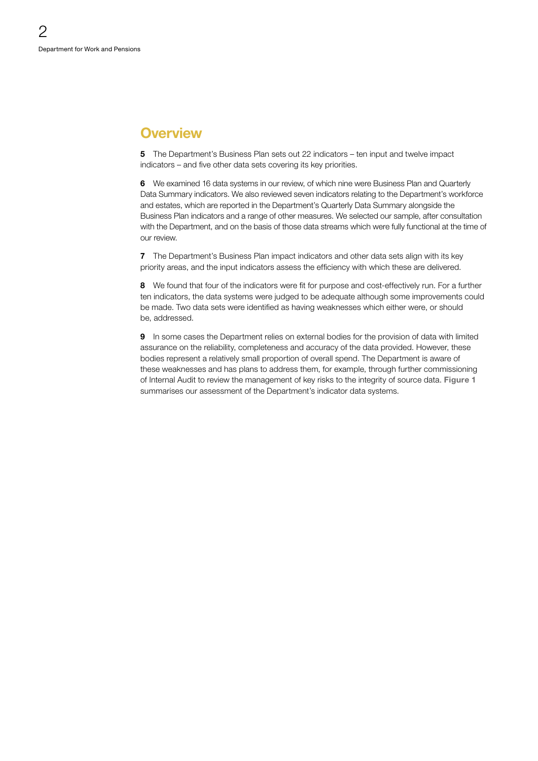#### **Overview**

5 The Department's Business Plan sets out 22 indicators – ten input and twelve impact indicators – and five other data sets covering its key priorities.

6 We examined 16 data systems in our review, of which nine were Business Plan and Quarterly Data Summary indicators. We also reviewed seven indicators relating to the Department's workforce and estates, which are reported in the Department's Quarterly Data Summary alongside the Business Plan indicators and a range of other measures. We selected our sample, after consultation with the Department, and on the basis of those data streams which were fully functional at the time of our review.

7 The Department's Business Plan impact indicators and other data sets align with its key priority areas, and the input indicators assess the efficiency with which these are delivered.

8 We found that four of the indicators were fit for purpose and cost-effectively run. For a further ten indicators, the data systems were judged to be adequate although some improvements could be made. Two data sets were identified as having weaknesses which either were, or should be, addressed.

9 In some cases the Department relies on external bodies for the provision of data with limited assurance on the reliability, completeness and accuracy of the data provided. However, these bodies represent a relatively small proportion of overall spend. The Department is aware of these weaknesses and has plans to address them, for example, through further commissioning of Internal Audit to review the management of key risks to the integrity of source data. Figure 1 summarises our assessment of the Department's indicator data systems.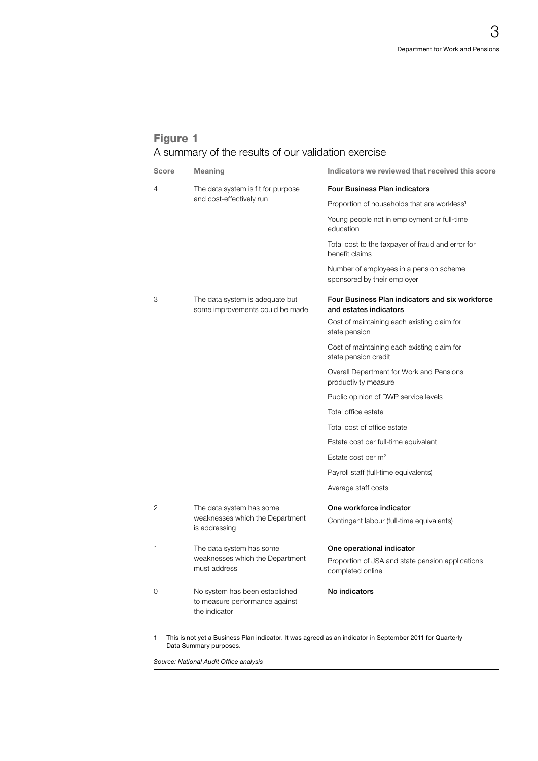#### Figure 1 A summary of the results of our validation exercise

| Score | Meaning                                                                           | Indicators we reviewed that received this score                                                          |
|-------|-----------------------------------------------------------------------------------|----------------------------------------------------------------------------------------------------------|
| 4     | The data system is fit for purpose<br>and cost-effectively run                    | <b>Four Business Plan indicators</b>                                                                     |
|       |                                                                                   | Proportion of households that are workless <sup>1</sup>                                                  |
|       |                                                                                   | Young people not in employment or full-time<br>education                                                 |
|       |                                                                                   | Total cost to the taxpayer of fraud and error for<br>benefit claims                                      |
|       |                                                                                   | Number of employees in a pension scheme<br>sponsored by their employer                                   |
| 3     | The data system is adequate but<br>some improvements could be made                | Four Business Plan indicators and six workforce<br>and estates indicators                                |
|       |                                                                                   | Cost of maintaining each existing claim for<br>state pension                                             |
|       |                                                                                   | Cost of maintaining each existing claim for<br>state pension credit                                      |
|       |                                                                                   | Overall Department for Work and Pensions<br>productivity measure                                         |
|       |                                                                                   | Public opinion of DWP service levels                                                                     |
|       |                                                                                   | Total office estate                                                                                      |
|       |                                                                                   | Total cost of office estate                                                                              |
|       |                                                                                   | Estate cost per full-time equivalent                                                                     |
|       |                                                                                   | Estate cost per $m2$                                                                                     |
|       |                                                                                   | Payroll staff (full-time equivalents)                                                                    |
|       |                                                                                   | Average staff costs                                                                                      |
| 2     | The data system has some<br>weaknesses which the Department<br>is addressing      | One workforce indicator                                                                                  |
|       |                                                                                   | Contingent labour (full-time equivalents)                                                                |
| 1     | The data system has some<br>weaknesses which the Department<br>must address       | One operational indicator                                                                                |
|       |                                                                                   | Proportion of JSA and state pension applications<br>completed online                                     |
| 0     | No system has been established<br>to measure performance against<br>the indicator | No indicators                                                                                            |
|       |                                                                                   | This is not yet a Business Plan indicator. It was agreed as an indicator in September 2011 for Quarterly |

1 This is not yet a Business Plan indicator. It was agreed as an indicator in September 2011 for Quarterly Data Summary purposes.

**Source: National Audit Office analysis**